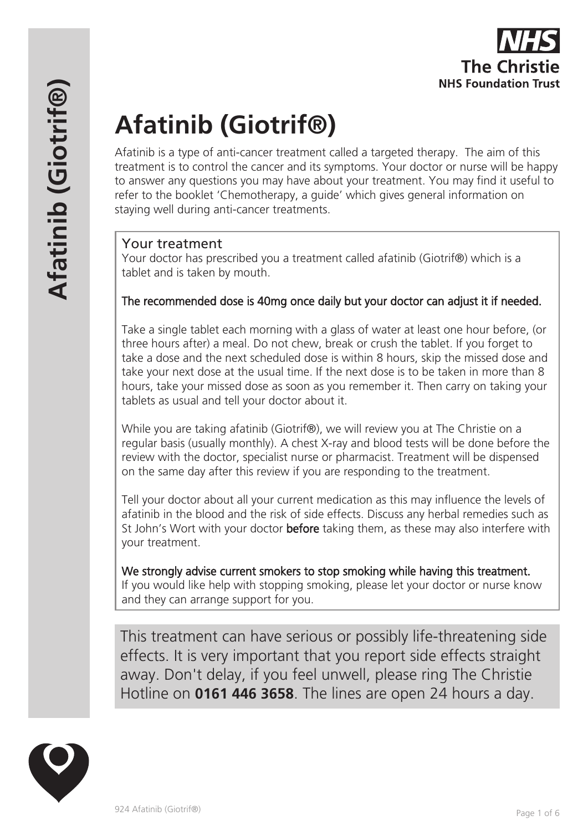# **Afatinib (Giotrif®)**

Afatinib is a type of anti-cancer treatment called a targeted therapy. The aim of this treatment is to control the cancer and its symptoms. Your doctor or nurse will be happy to answer any questions you may have about your treatment. You may find it useful to refer to the booklet 'Chemotherapy, a guide' which gives general information on staying well during anti-cancer treatments.

# Your treatment

Your doctor has prescribed you a treatment called afatinib (Giotrif®) which is a tablet and is taken by mouth.

# The recommended dose is 40mg once daily but your doctor can adjust it if needed.

Take a single tablet each morning with a glass of water at least one hour before, (or three hours after) a meal. Do not chew, break or crush the tablet. If you forget to take a dose and the next scheduled dose is within 8 hours, skip the missed dose and take your next dose at the usual time. If the next dose is to be taken in more than 8 hours, take your missed dose as soon as you remember it. Then carry on taking your tablets as usual and tell your doctor about it.

While you are taking afatinib (Giotrif®), we will review you at The Christie on a regular basis (usually monthly). A chest X-ray and blood tests will be done before the review with the doctor, specialist nurse or pharmacist. Treatment will be dispensed on the same day after this review if you are responding to the treatment.

Tell your doctor about all your current medication as this may influence the levels of afatinib in the blood and the risk of side effects. Discuss any herbal remedies such as St John's Wort with your doctor **before** taking them, as these may also interfere with your treatment.

We strongly advise current smokers to stop smoking while having this treatment. If you would like help with stopping smoking, please let your doctor or nurse know and they can arrange support for you.

This treatment can have serious or possibly life-threatening side effects. It is very important that you report side effects straight away. Don't delay, if you feel unwell, please ring The Christie Hotline on **0161 446 3658**. The lines are open 24 hours a day.

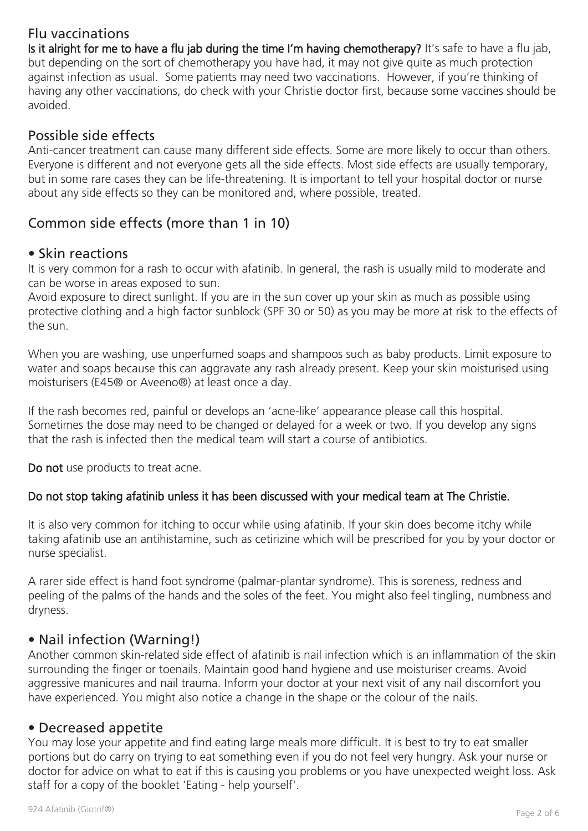# Flu vaccinations

Is it alright for me to have a flu jab during the time I'm having chemotherapy? It's safe to have a flu jab, but depending on the sort of chemotherapy you have had, it may not give quite as much protection against infection as usual. Some patients may need two vaccinations. However, if you're thinking of having any other vaccinations, do check with your Christie doctor first, because some vaccines should be avoided.

# Possible side effects

Anti-cancer treatment can cause many different side effects. Some are more likely to occur than others. Everyone is different and not everyone gets all the side effects. Most side effects are usually temporary, but in some rare cases they can be life-threatening. It is important to tell your hospital doctor or nurse about any side effects so they can be monitored and, where possible, treated.

# Common side effects (more than 1 in 10)

# • Skin reactions

It is very common for a rash to occur with afatinib. In general, the rash is usually mild to moderate and can be worse in areas exposed to sun.

Avoid exposure to direct sunlight. If you are in the sun cover up your skin as much as possible using protective clothing and a high factor sunblock (SPF 30 or 50) as you may be more at risk to the effects of the sun.

When you are washing, use unperfumed soaps and shampoos such as baby products. Limit exposure to water and soaps because this can aggravate any rash already present. Keep your skin moisturised using moisturisers (E45® or Aveeno®) at least once a day.

If the rash becomes red, painful or develops an 'acne-like' appearance please call this hospital. Sometimes the dose may need to be changed or delayed for a week or two. If you develop any signs that the rash is infected then the medical team will start a course of antibiotics.

Do not use products to treat acne.

# Do not stop taking afatinib unless it has been discussed with your medical team at The Christie.

It is also very common for itching to occur while using afatinib. If your skin does become itchy while taking afatinib use an antihistamine, such as cetirizine which will be prescribed for you by your doctor or nurse specialist.

A rarer side effect is hand foot syndrome (palmar-plantar syndrome). This is soreness, redness and peeling of the palms of the hands and the soles of the feet. You might also feel tingling, numbness and dryness.

# • Nail infection (Warning!)

Another common skin-related side effect of afatinib is nail infection which is an inflammation of the skin surrounding the finger or toenails. Maintain good hand hygiene and use moisturiser creams. Avoid aggressive manicures and nail trauma. Inform your doctor at your next visit of any nail discomfort you have experienced. You might also notice a change in the shape or the colour of the nails.

# • Decreased appetite

You may lose your appetite and find eating large meals more difficult. It is best to try to eat smaller portions but do carry on trying to eat something even if you do not feel very hungry. Ask your nurse or doctor for advice on what to eat if this is causing you problems or you have unexpected weight loss. Ask staff for a copy of the booklet 'Eating - help yourself'.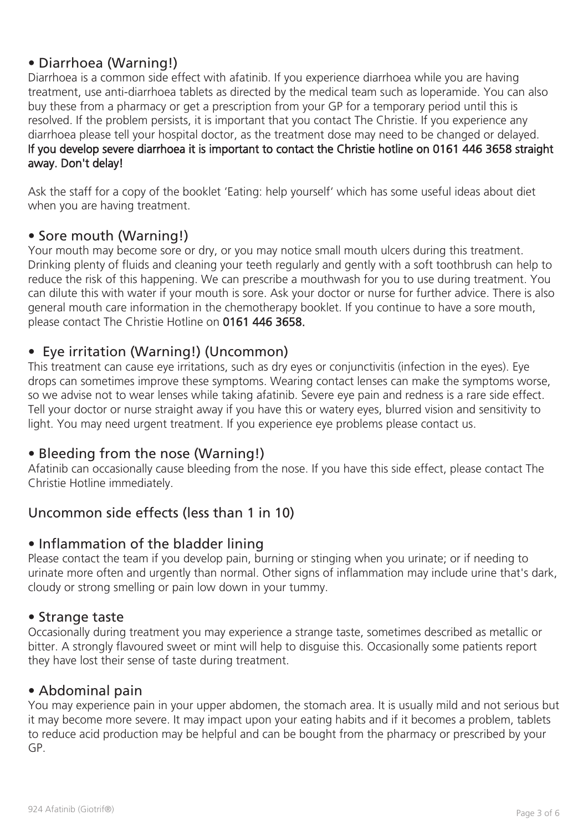# • Diarrhoea (Warning!)

Diarrhoea is a common side effect with afatinib. If you experience diarrhoea while you are having treatment, use anti-diarrhoea tablets as directed by the medical team such as loperamide. You can also buy these from a pharmacy or get a prescription from your GP for a temporary period until this is resolved. If the problem persists, it is important that you contact The Christie. If you experience any diarrhoea please tell your hospital doctor, as the treatment dose may need to be changed or delayed. If you develop severe diarrhoea it is important to contact the Christie hotline on 0161 446 3658 straight away. Don't delay!

Ask the staff for a copy of the booklet 'Eating: help yourself' which has some useful ideas about diet when you are having treatment.

# • Sore mouth (Warning!)

Your mouth may become sore or dry, or you may notice small mouth ulcers during this treatment. Drinking plenty of fluids and cleaning your teeth regularly and gently with a soft toothbrush can help to reduce the risk of this happening. We can prescribe a mouthwash for you to use during treatment. You can dilute this with water if your mouth is sore. Ask your doctor or nurse for further advice. There is also general mouth care information in the chemotherapy booklet. If you continue to have a sore mouth, please contact The Christie Hotline on 0161 446 3658.

# • Eye irritation (Warning!) (Uncommon)

This treatment can cause eye irritations, such as dry eyes or conjunctivitis (infection in the eyes). Eye drops can sometimes improve these symptoms. Wearing contact lenses can make the symptoms worse, so we advise not to wear lenses while taking afatinib. Severe eye pain and redness is a rare side effect. Tell your doctor or nurse straight away if you have this or watery eyes, blurred vision and sensitivity to light. You may need urgent treatment. If you experience eye problems please contact us.

# • Bleeding from the nose (Warning!)

Afatinib can occasionally cause bleeding from the nose. If you have this side effect, please contact The Christie Hotline immediately.

# Uncommon side effects (less than 1 in 10)

# • Inflammation of the bladder lining

Please contact the team if you develop pain, burning or stinging when you urinate; or if needing to urinate more often and urgently than normal. Other signs of inflammation may include urine that's dark, cloudy or strong smelling or pain low down in your tummy.

#### • Strange taste

Occasionally during treatment you may experience a strange taste, sometimes described as metallic or bitter. A strongly flavoured sweet or mint will help to disguise this. Occasionally some patients report they have lost their sense of taste during treatment.

# • Abdominal pain

You may experience pain in your upper abdomen, the stomach area. It is usually mild and not serious but it may become more severe. It may impact upon your eating habits and if it becomes a problem, tablets to reduce acid production may be helpful and can be bought from the pharmacy or prescribed by your GP.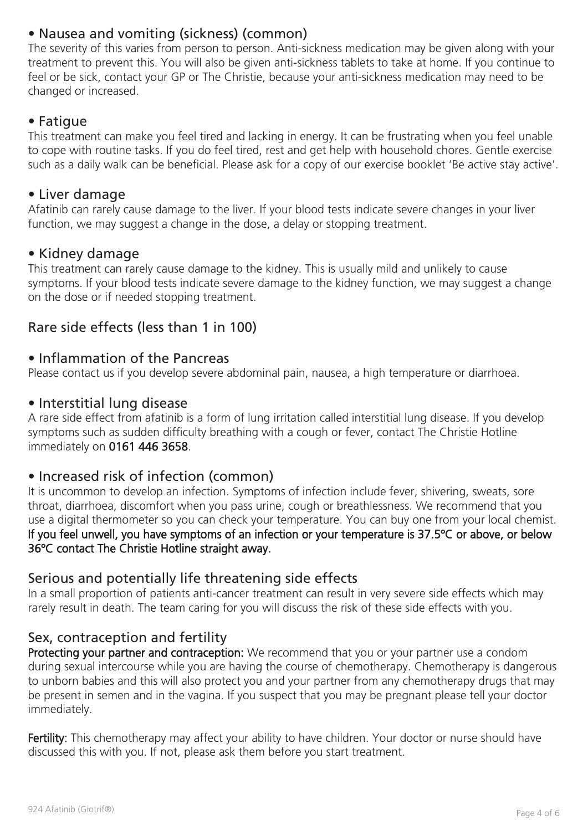# • Nausea and vomiting (sickness) (common)

The severity of this varies from person to person. Anti-sickness medication may be given along with your treatment to prevent this. You will also be given anti-sickness tablets to take at home. If you continue to feel or be sick, contact your GP or The Christie, because your anti-sickness medication may need to be changed or increased.

# • Fatigue

This treatment can make you feel tired and lacking in energy. It can be frustrating when you feel unable to cope with routine tasks. If you do feel tired, rest and get help with household chores. Gentle exercise such as a daily walk can be beneficial. Please ask for a copy of our exercise booklet 'Be active stay active'.

# • Liver damage

Afatinib can rarely cause damage to the liver. If your blood tests indicate severe changes in your liver function, we may suggest a change in the dose, a delay or stopping treatment.

# • Kidney damage

This treatment can rarely cause damage to the kidney. This is usually mild and unlikely to cause symptoms. If your blood tests indicate severe damage to the kidney function, we may suggest a change on the dose or if needed stopping treatment.

# Rare side effects (less than 1 in 100)

# • Inflammation of the Pancreas

Please contact us if you develop severe abdominal pain, nausea, a high temperature or diarrhoea.

# • Interstitial lung disease

A rare side effect from afatinib is a form of lung irritation called interstitial lung disease. If you develop symptoms such as sudden difficulty breathing with a cough or fever, contact The Christie Hotline immediately on 0161 446 3658.

# • Increased risk of infection (common)

It is uncommon to develop an infection. Symptoms of infection include fever, shivering, sweats, sore throat, diarrhoea, discomfort when you pass urine, cough or breathlessness. We recommend that you use a digital thermometer so you can check your temperature. You can buy one from your local chemist. If you feel unwell, you have symptoms of an infection or your temperature is 37.5ºC or above, or below 36ºC contact The Christie Hotline straight away.

# Serious and potentially life threatening side effects

In a small proportion of patients anti-cancer treatment can result in very severe side effects which may rarely result in death. The team caring for you will discuss the risk of these side effects with you.

# Sex, contraception and fertility

Protecting your partner and contraception: We recommend that you or your partner use a condom during sexual intercourse while you are having the course of chemotherapy. Chemotherapy is dangerous to unborn babies and this will also protect you and your partner from any chemotherapy drugs that may be present in semen and in the vagina. If you suspect that you may be pregnant please tell your doctor immediately.

Fertility: This chemotherapy may affect your ability to have children. Your doctor or nurse should have discussed this with you. If not, please ask them before you start treatment.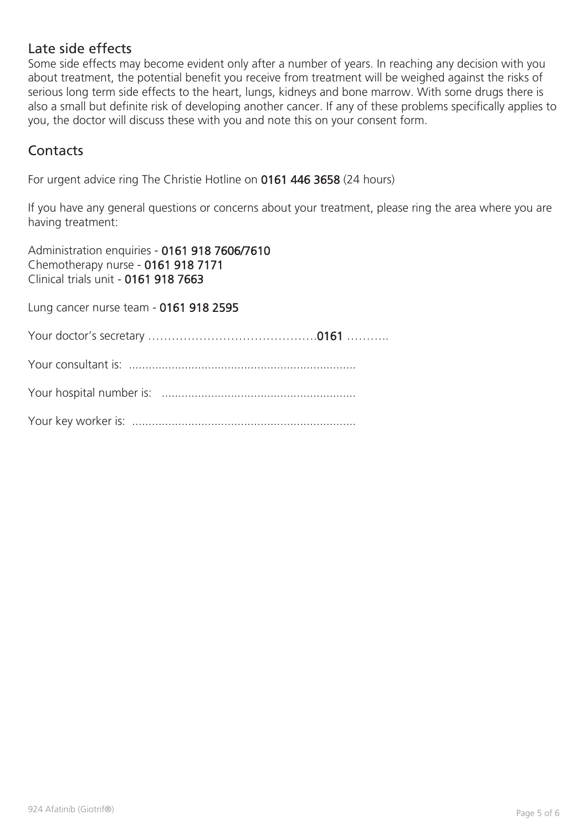# Late side effects

Some side effects may become evident only after a number of years. In reaching any decision with you about treatment, the potential benefit you receive from treatment will be weighed against the risks of serious long term side effects to the heart, lungs, kidneys and bone marrow. With some drugs there is also a small but definite risk of developing another cancer. If any of these problems specifically applies to you, the doctor will discuss these with you and note this on your consent form.

# **Contacts**

For urgent advice ring The Christie Hotline on 0161 446 3658 (24 hours)

If you have any general questions or concerns about your treatment, please ring the area where you are having treatment:

Administration enquiries - 0161 918 7606/7610 Chemotherapy nurse - 0161 918 7171 Clinical trials unit - 0161 918 7663

Lung cancer nurse team - 0161 918 2595

Your doctor's secretary …………………………………….0161 ………..

Your consultant is: .....................................................................

Your hospital number is: ...........................................................

Your key worker is: ....................................................................